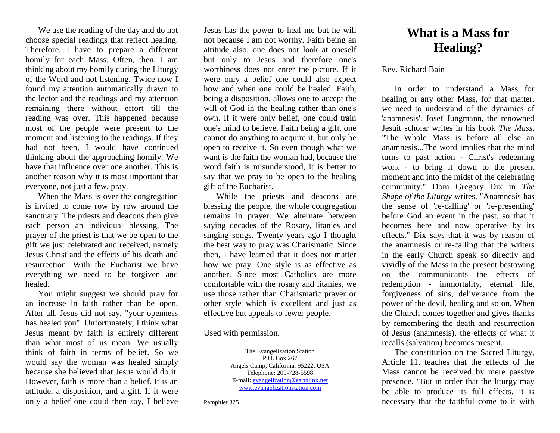We use the reading of the day and do not choose special readings that reflect healing. Therefore, I have to prepare a different homily for each Mass. Often, then, I am thinking about my homily during the Liturgy of the Word and not listening. Twice now I found my attention automatically drawn to the lector and the readings and my attention remaining there without effort till the reading was over. This happened because most of the people were present to the moment and listening to the readings. If they had not been, I would have continued thinking about the approaching homily. We have that influence over one another. This is another reason why it is most important that everyone, not just a few, pray.

When the Mass is over the congregation is invited to come row by row around the sanctuary. The priests and deacons then give each person an individual blessing. The prayer of the priest is that we be open to the gift we just celebrated and received, namely Jesus Christ and the effects of his death and resurrection. With the Eucharist we have everything we need to be forgiven and healed.

You might suggest we should pray for an increase in faith rather than be open. After all, Jesus did not say, "your openness has healed you". Unfortunately, I think what Jesus meant by faith is entirely different than what most of us mean. We usually think of faith in terms of belief. So we would say the woman was healed simply because she believed that Jesus would do it. However, faith is more than a belief. It is an attitude, a disposition, and a gift. If it were only a belief one could then say, I believe

Jesus has the power to heal me but he will not because I am not worthy. Faith being an attitude also, one does not look at oneself but only to Jesus and therefore one's worthiness does not enter the picture. If it were only a belief one could also expect how and when one could be healed. Faith, being a disposition, allows one to accept the will of God in the healing rather than one's own. If it were only belief, one could train one's mind to believe. Faith being a gift, one cannot do anything to acquire it, but only be open to receive it. So even though what we want is the faith the woman had, because the word faith is misunderstood, it is better to say that we pray to be open to the healing gift of the Eucharist.

While the priests and deacons are blessing the people, the whole congregation remains in prayer. We alternate between saying decades of the Rosary, litanies and singing songs. Twenty years ago I thought the best way to pray was Charismatic. Since then, I have learned that it does not matter how we pray. One style is as effective as another. Since most Catholics are more comfortable with the rosary and litanies, we use those rather than Charismatic prayer or other style which is excellent and just as effective but appeals to fewer people.

Used with permission.

The Evangelization Station P.O. Box 267 Angels Camp, California, 95222, USA Telephone: 209-728-5598 E-mail[: evangelization@earthlink.net](mailto:evangelization@earthlink.net) [www.evangelizationstation.com](http://www.pjpiisoe.org/)

Pamphlet 325

## **What is a Mass for Healing?**

## Rev. Richard Bain

In order to understand a Mass for healing or any other Mass, for that matter, we need to understand of the dynamics of 'anamnesis'. Josef Jungmann, the renowned Jesuit scholar writes in his book *The Mass*, "The Whole Mass is before all else an anamnesis...The word implies that the mind turns to past action - Christ's redeeming work - to bring it down to the present moment and into the midst of the celebrating community." Dom Gregory Dix in *The Shape of the Liturgy* writes, "Anamnesis has the sense of 're-calling' or 're-presenting' before God an event in the past, so that it becomes here and now operative by its effects." Dix says that it was by reason of the anamnesis or re-calling that the writers in the early Church speak so directly and vividly of the Mass in the present bestowing on the communicants the effects of redemption - immortality, eternal life, forgiveness of sins, deliverance from the power of the devil, healing and so on. When the Church comes together and gives thanks by remembering the death and resurrection of Jesus (anamnesis), the effects of what it recalls (salvation) becomes present.

The constitution on the Sacred Liturgy, Article 11, teaches that the effects of the Mass cannot be received by mere passive presence. "But in order that the liturgy may be able to produce its full effects, it is necessary that the faithful come to it with